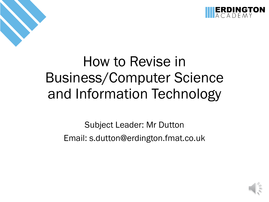

### How to Revise in Business/Computer Science and Information Technology

Subject Leader: Mr Dutton Email: s.dutton@erdington.fmat.co.uk

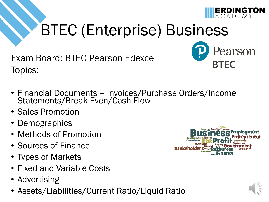

earson

**BTFC** 

## BTEC (Enterprise) Business

Exam Board: BTEC Pearson Edexcel Topics:

- Financial Documents Invoices/Purchase Orders/Income Statements/Break Even/Cash Flow
- Sales Promotion
- Demographics
- Methods of Promotion
- Sources of Finance
- Types of Markets
- Fixed and Variable Costs
- Advertising
- Assets/Liabilities/Current Ratio/Liquid Ratio



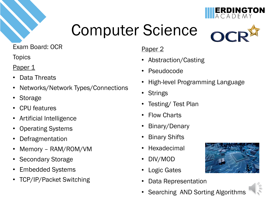





**ERDINGTON** 

Exam Board: OCR

**Topics** 

#### Paper 1

- Data Threats
- Networks/Network Types/Connections
- **Storage**
- CPU features
- Artificial Intelligence
- Operating Systems
- Defragmentation
- Memory RAM/ROM/VM
- Secondary Storage
- Embedded Systems
- TCP/IP/Packet Switching

#### Paper 2

- Abstraction/Casting
- **Pseudocode**
- High-level Programming Language
- Strings
- Testing/ Test Plan
- Flow Charts
- Binary/Denary
- Binary Shifts
- Hexadecimal
- DIV/MOD
- Logic Gates
- Data Representation
- Searching AND Sorting Algorithms

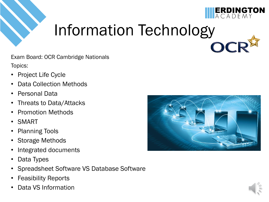

### Information Technology OC

Exam Board: OCR Cambridge Nationals Topics:

- Project Life Cycle
- Data Collection Methods
- Personal Data
- Threats to Data/Attacks
- Promotion Methods
- SMART
- Planning Tools
- Storage Methods
- Integrated documents
- Data Types
- Spreadsheet Software VS Database Software
- Feasibility Reports
- Data VS Information



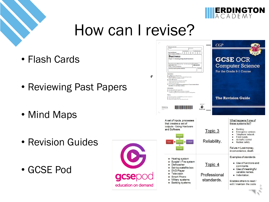

**GCSE OCR** 

For the Grade 9-1 Course

**Computer Science** 

 $CGP$ 

### How can I revise?

 $\mathbf{r}$ 

- Flash Cards
- Reviewing Past Papers
- Mind Maps
- Revision Guides
- GCSE Pod

|                                   | · The marks for each question are shown in brackets.<br>- use this as a quide as to how much time to spend on each question.<br>Advice<br>. Read each question carefully before you start to answer it.<br>. Try to answer every question.<br>. Check your answers if you have time at the end.<br>S57601A | <b>The Revision Guide</b><br>Turn over ><br>⋒<br>Pearson |                                                                                                                                                                                                                       |
|-----------------------------------|------------------------------------------------------------------------------------------------------------------------------------------------------------------------------------------------------------------------------------------------------------------------------------------------------------|----------------------------------------------------------|-----------------------------------------------------------------------------------------------------------------------------------------------------------------------------------------------------------------------|
|                                   | A set of inputs, processes<br>that creates a set of<br>outputs - Using Hardware<br>and Software<br>rogran<br>output<br>input<br>process<br>л<br>storage                                                                                                                                                    | Topic 3<br>Reliability.                                  | What happens if one of<br>these systems fail?<br>Banking<br><b>Emergency services</b><br>Telephone network<br>Food supply.<br>Air traffic control<br>Nuclear safety<br>Failure = Lost money,<br>inconvenience, death. |
| O<br>gcser<br>education on demand | Heating system<br>Burglar / Fire system<br>Dishwasher<br>Set-top satellite box<br><b>DVD Player</b><br><b>Television</b><br>Smart Phone<br>Military systems<br><b>Banking systems</b>                                                                                                                      | Topic 4<br>Professional<br>standards.                    | Examples of standards<br>• Use of functions and<br>comments.<br>• Use of meaningful<br>variable names.<br>· Indentation.<br>Enables others to read /<br>edit / maintain the code                                      |

Pearson Edexcel<br>
Level 1/Level 2 GCSE (9-1)

1850/01

Paper 1: Investigating small busines nt Material Set 1 for first text

**Business**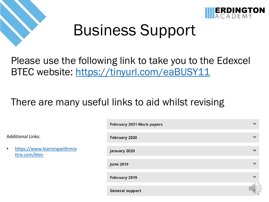

Ad



### Business Support

### Please use the following link to take you to the Edexcel BTEC website:<https://tinyurl.com/eaBUSY11>

### There are many useful links to aid whilst revising

|                                                           | February 2021 Mock papers | $\checkmark$ |
|-----------------------------------------------------------|---------------------------|--------------|
| <b>Additional Links:</b>                                  | <b>February 2020</b>      | $\checkmark$ |
| https://www.learningwithmra<br>$\bullet$<br>ttra.com/btec | January 2020              | $\checkmark$ |
|                                                           | <b>June 2019</b>          | $\checkmark$ |
|                                                           | <b>February 2019</b>      | $\checkmark$ |
|                                                           | <b>General support</b>    |              |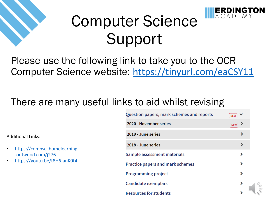

## Computer Science Support

Please use the following link to take you to the OCR Computer Science website: <https://tinyurl.com/eaCSY11>

### There are many useful links to aid whilst revising

Additional Links:

- [https://compsci.homelearning](https://compsci.homelearning.outwood.com/j276) .outwood.com/j276
- <https://youtu.be/t8H6-anK0t4>

| Question papers, mark schemes and reports | <b>NEW</b> |
|-------------------------------------------|------------|
| 2020 - November series                    | <b>NEW</b> |
| 2019 - June series                        | ⋗          |
| 2018 - June series                        |            |
| Sample assessment materials               |            |
| <b>Practice papers and mark schemes</b>   |            |
| <b>Programming project</b>                |            |
| Candidate exemplars                       |            |
| <b>Resources for students</b>             |            |